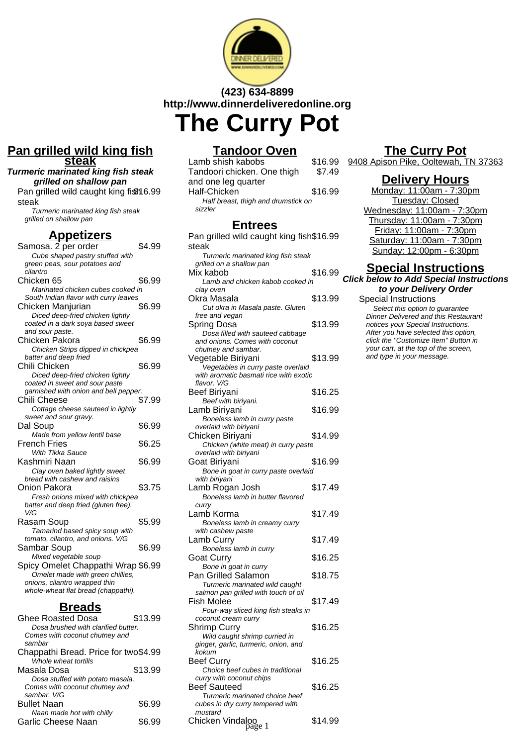

# **(423) 634-8899 http://www.dinnerdeliveredonline.org The Curry Pot**

### **Pan grilled wild king fish steak**

**Turmeric marinated king fish steak grilled on shallow pan** Pan grilled wild caught king fish 6.99

steak

Turmeric marinated king fish steak grilled on shallow pan

#### **Appetizers**

| Samosa. 2 per order                   | \$4.99 |
|---------------------------------------|--------|
| Cube shaped pastry stuffed with       |        |
| green peas, sour potatoes and         |        |
| cilantro                              |        |
| Chicken 65                            | \$6.99 |
| Marinated chicken cubes cooked in     |        |
| South Indian flavor with curry leaves |        |
| Chicken Manjurian                     | \$6.99 |
| Diced deep-fried chicken lightly      |        |
| coated in a dark soya based sweet     |        |
| and sour paste.                       |        |
| Chicken Pakora                        | \$6.99 |
| Chicken Strips dipped in chickpea     |        |
| batter and deep fried                 |        |
| Chili Chicken                         | \$6.99 |
| Diced deep-fried chicken lightly      |        |
| coated in sweet and sour paste        |        |
| garnished with onion and bell pepper. |        |
| Chili Cheese                          | \$7.99 |
| Cottage cheese sauteed in lightly     |        |
| sweet and sour gravy.                 |        |
| Dal Soup                              | \$6.99 |
| Made from yellow lentil base          |        |
| French Fries                          | \$6.25 |
| With Tikka Sauce                      |        |
| Kashmiri Naan                         | \$6.99 |
| Clay oven baked lightly sweet         |        |
| bread with cashew and raisins         |        |
| Onion Pakora                          | \$3.75 |
| Fresh onions mixed with chickpea      |        |
| batter and deep fried (gluten free).  |        |
| V/G                                   |        |
| Rasam Soup                            | \$5.99 |
| Tamarind based spicy soup with        |        |
| tomato, cilantro, and onions. V/G     |        |
| Sambar Soup                           | \$6.99 |
| Mixed vegetable soup                  |        |
| Spicy Omelet Chappathi Wrap \$6.99    |        |
| Omelet made with green chillies,      |        |
| onions, cilantro wrapped thin         |        |
| whole-wheat flat bread (chappathi).   |        |
|                                       |        |

## **Breads**

| Ghee Roasted Dosa                    | \$13.99 |
|--------------------------------------|---------|
| Dosa brushed with clarified butter.  |         |
| Comes with coconut chutney and       |         |
| sambar                               |         |
| Chappathi Bread. Price for two\$4.99 |         |
| Whole wheat tortills                 |         |
| Masala Dosa                          | \$13.99 |
| Dosa stuffed with potato masala.     |         |
| Comes with coconut chutney and       |         |
| sambar, V/G                          |         |
| Bullet Naan                          | \$6.99  |
| Naan made hot with chilly            |         |
| Garlic Cheese Naan                   | SG 99   |
|                                      |         |

## **Tandoor Oven**

| Lamb shish kabobs                   | \$16.99 |
|-------------------------------------|---------|
| Tandoori chicken. One thigh         | \$7.49  |
| and one leg quarter                 |         |
| Half-Chicken                        | \$16.99 |
| Half breast, thigh and drumstick on |         |
| sizzler                             |         |
|                                     |         |

## **Entrees**

| Pan grilled wild caught king fish\$16.99 |         |
|------------------------------------------|---------|
| steak                                    |         |
| Turmeric marinated king fish steak       |         |
| grilled on a shallow pan                 |         |
| Mix kabob                                | \$16.99 |
| Lamb and chicken kabob cooked in         |         |
| clay oven                                |         |
| Okra Masala                              | \$13.99 |
| Cut okra in Masala paste. Gluten         |         |
| free and vegan                           |         |
| Spring Dosa                              | \$13.99 |
| Dosa filled with sauteed cabbage         |         |
| and onions. Comes with coconut           |         |
| chutney and sambar.                      |         |
| Vegetable Biriyani                       | \$13.99 |
| Vegetables in curry paste overlaid       |         |
| with aromatic basmati rice with exotic   |         |
| flavor. V/G                              |         |
| Beef Biriyani                            | \$16.25 |
| Beef with biriyani.                      |         |
|                                          |         |
| Lamb Biriyani                            | \$16.99 |
| Boneless lamb in curry paste             |         |
| overlaid with biriyani                   |         |
| Chicken Biriyani                         | \$14.99 |
| Chicken (white meat) in curry paste      |         |
| overlaid with biriyani                   |         |
| Goat Biriyani                            | \$16.99 |
| Bone in goat in curry paste overlaid     |         |
| with biriyani                            |         |
| Lamb Rogan Josh                          | \$17.49 |
| Boneless lamb in butter flavored         |         |
| curry                                    |         |
| Lamb Korma                               | \$17.49 |
| Boneless lamb in creamy curry            |         |
| with cashew paste                        |         |
| Lamb Curry                               | \$17.49 |
| Boneless lamb in curry                   |         |
|                                          |         |
| Goat Curry                               | \$16.25 |
| Bone in goat in curry                    |         |
| <b>Pan Grilled Salamon</b>               | \$18.75 |
| Turmeric marinated wild caught           |         |
| salmon pan grilled with touch of oil     |         |
| <b>Fish Molee</b>                        | \$17.49 |
| Four-way sliced king fish steaks in      |         |
| coconut cream curry                      |         |
| Shrimp Curry                             | \$16.25 |
| Wild caught shrimp curried in            |         |
| ginger, garlic, turmeric, onion, and     |         |
| kokum                                    |         |
| <b>Beef Curry</b>                        | \$16.25 |
| Choice beef cubes in traditional         |         |
| curry with coconut chips                 |         |
| <b>Beef Sauteed</b>                      | \$16.25 |
| Turmeric marinated choice beef           |         |
| cubes in dry curry tempered with         |         |
| mustard                                  |         |
|                                          | \$14.99 |
| Chicken Vindaloo<br><sub>page 1</sub>    |         |

## **The Curry Pot**

9408 Apison Pike, Ooltewah, TN 37363

#### **Delivery Hours**

Monday: 11:00am - 7:30pm Tuesday: Closed Wednesday: 11:00am - 7:30pm Thursday: 11:00am - 7:30pm Friday: 11:00am - 7:30pm Saturday: 11:00am - 7:30pm Sunday: 12:00pm - 6:30pm

#### **Special Instructions Click below to Add Special Instructions to your Delivery Order**

Special Instructions Select this option to quarantee Dinner Delivered and this Restaurant notices your Special Instructions. After you have selected this option, click the "Customize Item" Button in your cart, at the top of the screen, and type in your message.